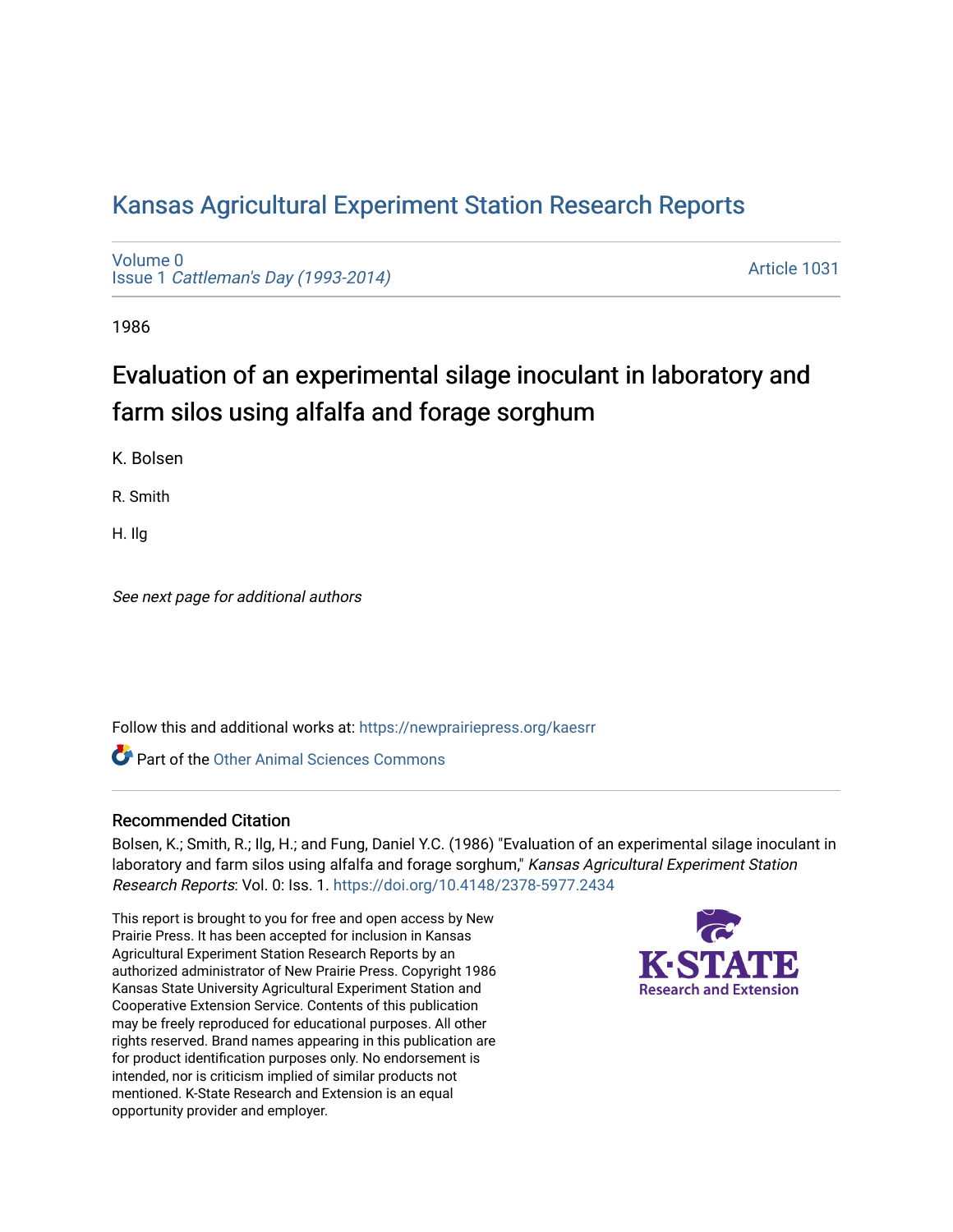## [Kansas Agricultural Experiment Station Research Reports](https://newprairiepress.org/kaesrr)

[Volume 0](https://newprairiepress.org/kaesrr/vol0) Issue 1 [Cattleman's Day \(1993-2014\)](https://newprairiepress.org/kaesrr/vol0/iss1) 

[Article 1031](https://newprairiepress.org/kaesrr/vol0/iss1/1031) 

1986

# Evaluation of an experimental silage inoculant in laboratory and farm silos using alfalfa and forage sorghum

K. Bolsen

R. Smith

H. Ilg

See next page for additional authors

Follow this and additional works at: [https://newprairiepress.org/kaesrr](https://newprairiepress.org/kaesrr?utm_source=newprairiepress.org%2Fkaesrr%2Fvol0%2Fiss1%2F1031&utm_medium=PDF&utm_campaign=PDFCoverPages) 

**C** Part of the [Other Animal Sciences Commons](http://network.bepress.com/hgg/discipline/82?utm_source=newprairiepress.org%2Fkaesrr%2Fvol0%2Fiss1%2F1031&utm_medium=PDF&utm_campaign=PDFCoverPages)

#### Recommended Citation

Bolsen, K.; Smith, R.; Ilg, H.; and Fung, Daniel Y.C. (1986) "Evaluation of an experimental silage inoculant in laboratory and farm silos using alfalfa and forage sorghum," Kansas Agricultural Experiment Station Research Reports: Vol. 0: Iss. 1.<https://doi.org/10.4148/2378-5977.2434>

This report is brought to you for free and open access by New Prairie Press. It has been accepted for inclusion in Kansas Agricultural Experiment Station Research Reports by an authorized administrator of New Prairie Press. Copyright 1986 Kansas State University Agricultural Experiment Station and Cooperative Extension Service. Contents of this publication may be freely reproduced for educational purposes. All other rights reserved. Brand names appearing in this publication are for product identification purposes only. No endorsement is intended, nor is criticism implied of similar products not mentioned. K-State Research and Extension is an equal opportunity provider and employer.

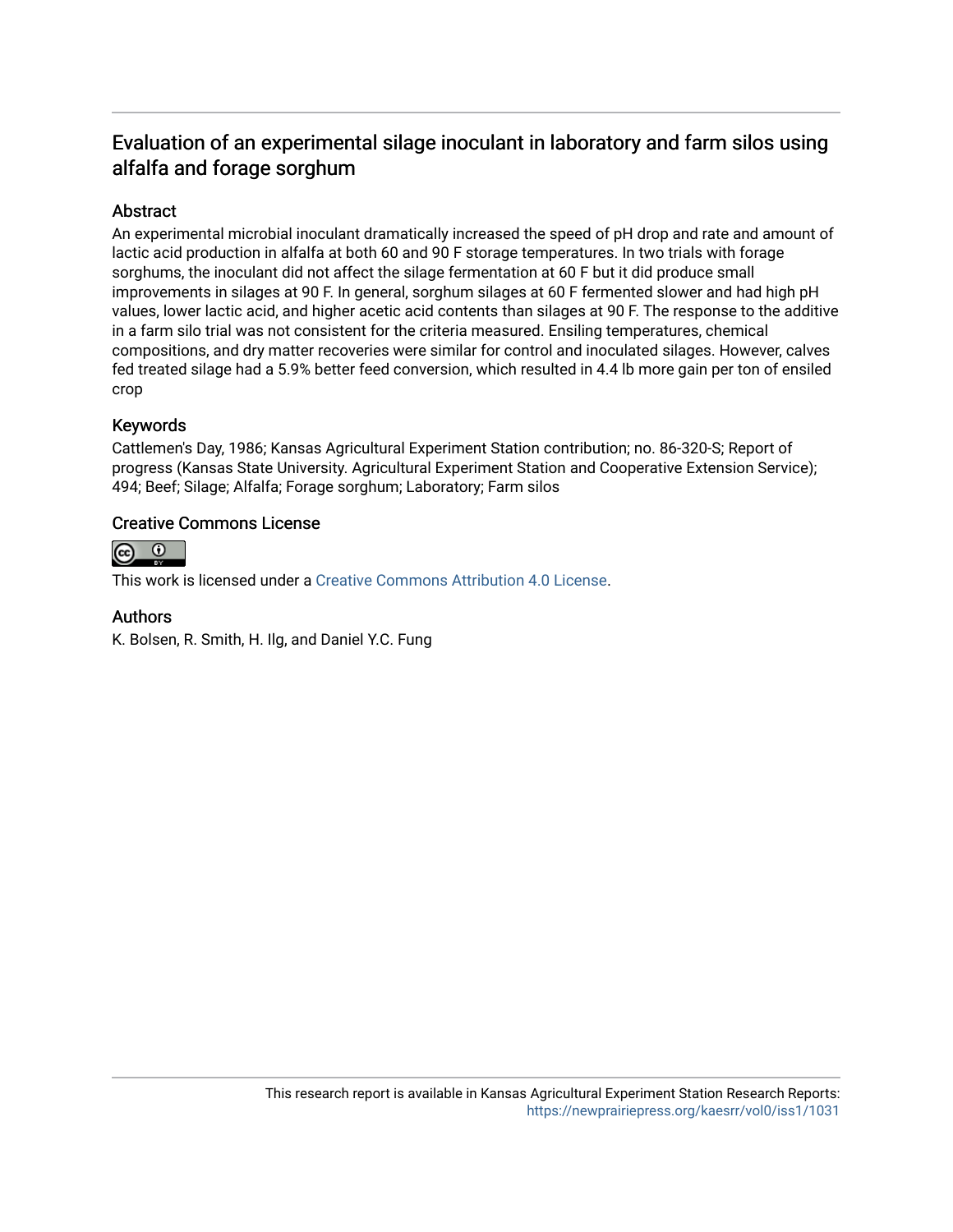### Evaluation of an experimental silage inoculant in laboratory and farm silos using alfalfa and forage sorghum

#### Abstract

An experimental microbial inoculant dramatically increased the speed of pH drop and rate and amount of lactic acid production in alfalfa at both 60 and 90 F storage temperatures. In two trials with forage sorghums, the inoculant did not affect the silage fermentation at 60 F but it did produce small improvements in silages at 90 F. In general, sorghum silages at 60 F fermented slower and had high pH values, lower lactic acid, and higher acetic acid contents than silages at 90 F. The response to the additive in a farm silo trial was not consistent for the criteria measured. Ensiling temperatures, chemical compositions, and dry matter recoveries were similar for control and inoculated silages. However, calves fed treated silage had a 5.9% better feed conversion, which resulted in 4.4 lb more gain per ton of ensiled crop

#### Keywords

Cattlemen's Day, 1986; Kansas Agricultural Experiment Station contribution; no. 86-320-S; Report of progress (Kansas State University. Agricultural Experiment Station and Cooperative Extension Service); 494; Beef; Silage; Alfalfa; Forage sorghum; Laboratory; Farm silos

#### Creative Commons License



This work is licensed under a [Creative Commons Attribution 4.0 License](https://creativecommons.org/licenses/by/4.0/).

#### Authors

K. Bolsen, R. Smith, H. Ilg, and Daniel Y.C. Fung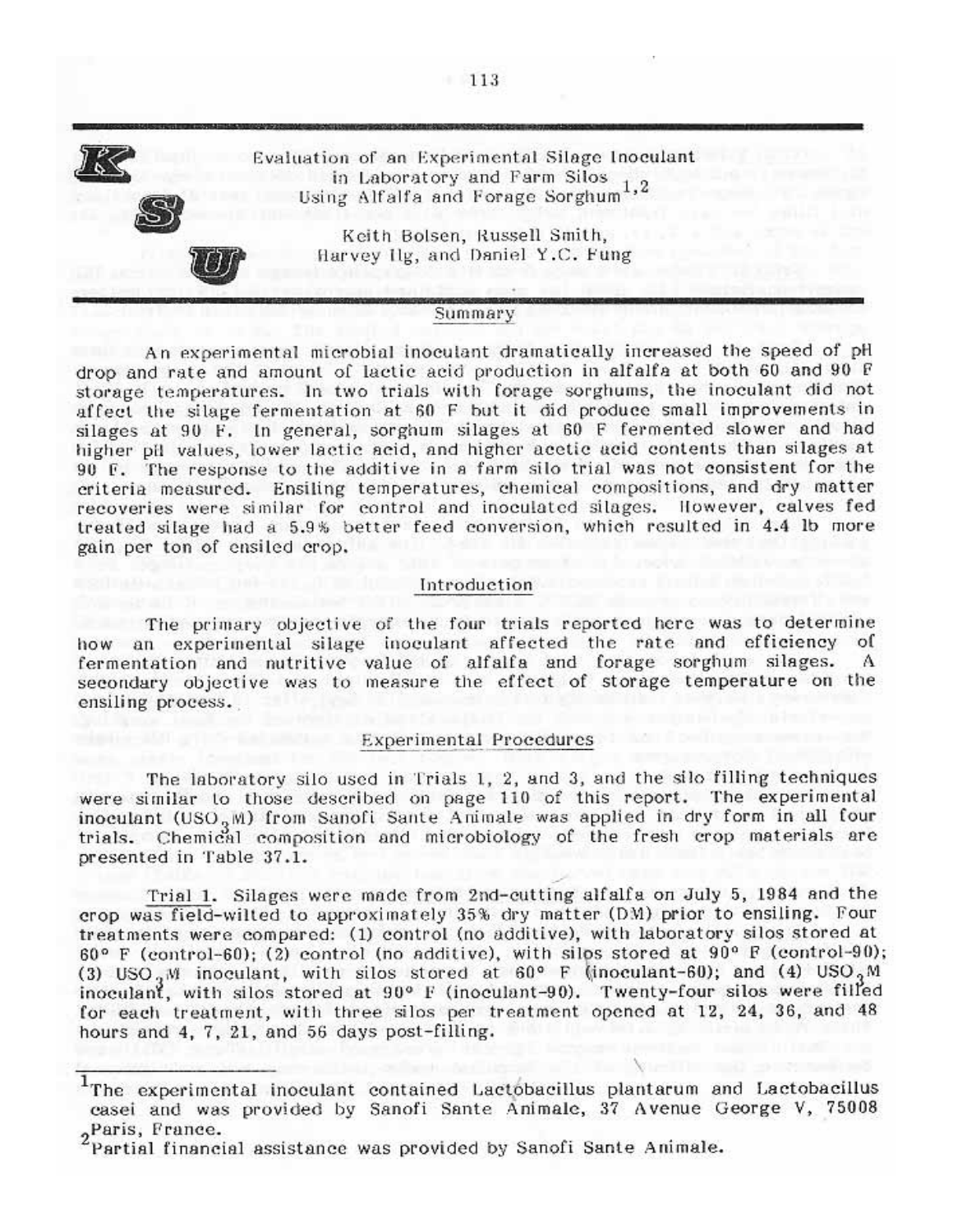

#### Summary

An experimental microbial inoculant dramatically increased the speed of pH drop and rate and amount of lactic acid production in alfalfa at both 60 and 90 F storage temperatures. In two trials with forage sorghums, the inoculant did not affect the silage fermentation at 60 F but it did produce small improvements in silages at 90 F. In general, sorghum silages at 60 F fermented slower and had higher pil values, lower lactic acid, and higher acetic acid contents than silages at 90 F. The response to the additive in a farm silo trial was not consistent for the criteria measured. Ensiling temperatures, chemical compositions, and dry matter recoveries were similar for control and inoculated silages. However, calves fed treated silage had a 5.9% better feed conversion, which resulted in 4.4 lb more gain per ton of ensiled erop.

#### Introduction

The primary objective of the four trials reported here was to determine how an experimental silage inoculant affected the rate and efficiency of fermentation and nutritive value of alfalfa and forage sorghum silages. Α secondary objective was to measure the effect of storage temperature on the ensiling process.

#### Experimental Procedures

The laboratory silo used in Trials 1, 2, and 3, and the silo filling techniques were similar to those described on page 110 of this report. The experimental inoculant (USO<sub>9</sub>M) from Sanofi Sante Animale was applied in dry form in all four trials. Chemical composition and microbiology of the fresh crop materials are presented in Table 37.1.

Trial 1. Silages were made from 2nd-cutting alfalfa on July 5, 1984 and the erop was field-wilted to approximately 35% dry matter (DM) prior to ensiling. Four treatments were compared: (1) control (no additive), with laboratory silos stored at 60° F (control-60); (2) control (no additive), with silps stored at 90° F (control-90); (3) USO<sub>3</sub>M inoculant, with silos stored at 60° F (inoculant-60); and (4) USO<sub>3</sub>M inoculant, with silos stored at 90° F (inoculant-90). Twenty-four silos were filled for each treatment, with three silos per treatment opened at 12, 24, 36, and 48 hours and 4, 7, 21, and 56 days post-filling.

<sup>&</sup>lt;sup>1</sup>The experimental inoculant contained Lactobacillus plantarum and Lactobacillus casei and was provided by Sanofi Sante Animale, 37 Avenue George V, 75008 2Paris, France.

Partial financial assistance was provided by Sanofi Sante Animale.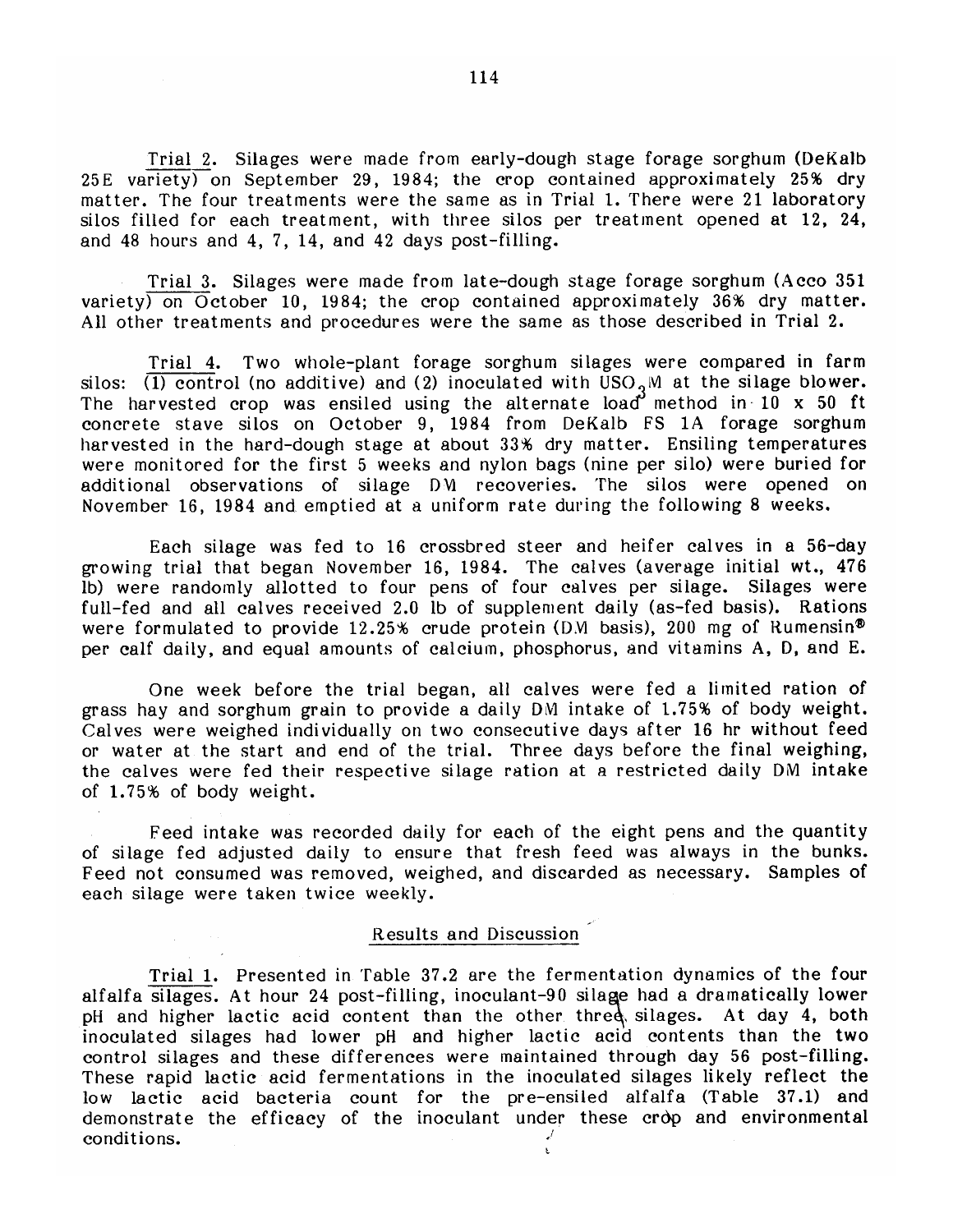Trial 2. Silages were made from early-dough stage forage sorghum (DeKalb 25E variety) on September 29, 1984; the crop contained approximately 25% dry matter. The four treatments were the same as in Trial 1. There were 21 laboratory silos filled for each treatment, with three silos per treatment opened at 12, 24, and 48 hours and 4, 7, 14, and 42 days post-filling.

Trial 3. Silages were made from late-dough stage forage sorghum (Acco 351  $\frac{1}{2}$  variety) on October 10, 1984; the crop contained approximately 36% dry matter. All other treatments and procedures were the same as those described in Trial 2.

Trial 4. Two whole-plant forage sorghum silages were compared in farm silos: (1) control (no additive) and (2) inoculated with  $USO<sub>2</sub>$ M at the silage blower. The harvested crop was ensiled using the alternate load method in  $10 \times 50$  ft concrete stave silos on October 9, 1984 from DeKalb FS 1A forage sorghum harvested in the hard-dough stage at about 33% dry matter. Ensiling temperatures were monitored for the first 5 weeks and nylon bags (nine per silo) were buried for additional observations of silage DM recoveries. The silos were opened on November 16, 1984 and emptied at a uniform rate during the following 8 weeks.

Each silage was fed to 16 crossbred steer and heifer calves in a 56-day growing trial that began November 16, 1984. The calves (average initial wt., 476 lb) were randomly allotted to four pens of four calves per silage. Silages were full-fed and all calves received 2.0 lb of supplement daily (as-fed basis). Rations were formulated to provide 12.25% crude protein (D.M basis), 200 mg of Rumensin<sup>®</sup> per calf daily, and equal amounts of calcium, phosphorus, and vitamins A, D, and E.

One week before the trial began, all calves were fed a limited ration of grass hay and sorghum grain to provide a daily DM intake of 1.75% of body weight. Calves were weighed individually on two consecutive days after 16 hr without feed or water at the start and end of the trial. Three days before the final weighing, the calves were fed their respective silage ration at a restricted daily DM intake of 1.75% of body weight.

Feed intake was recorded daily for each of the eight pens and the quantity of silage fed adjusted daily to ensure that fresh feed was always in the bunks. Feed not consumed was removed, weighed, and discarded as necessary. Samples of each silage were taken twice weekly.

#### Results and Discussion

Trial 1. Presented in Table 37.2 are the fermentation dynamics of the four alfalfa silages. At hour 24 post-filling, inoculant-90 silage had a dramatically lower pH and higher lactic acid content than the other three silages. At day 4, both inoculated silages had lower pH and higher lactic acid contents than the two control silages and these differences were maintained through day 56 post-filling. These rapid lactic acid fermentations in the inoculated silages likely reflect the low lactic acid bacteria count for the pre-ensiled alfalfa (Table 37.1) and demonstrate the efficacy of the inoculant under these crop and environmental conditions.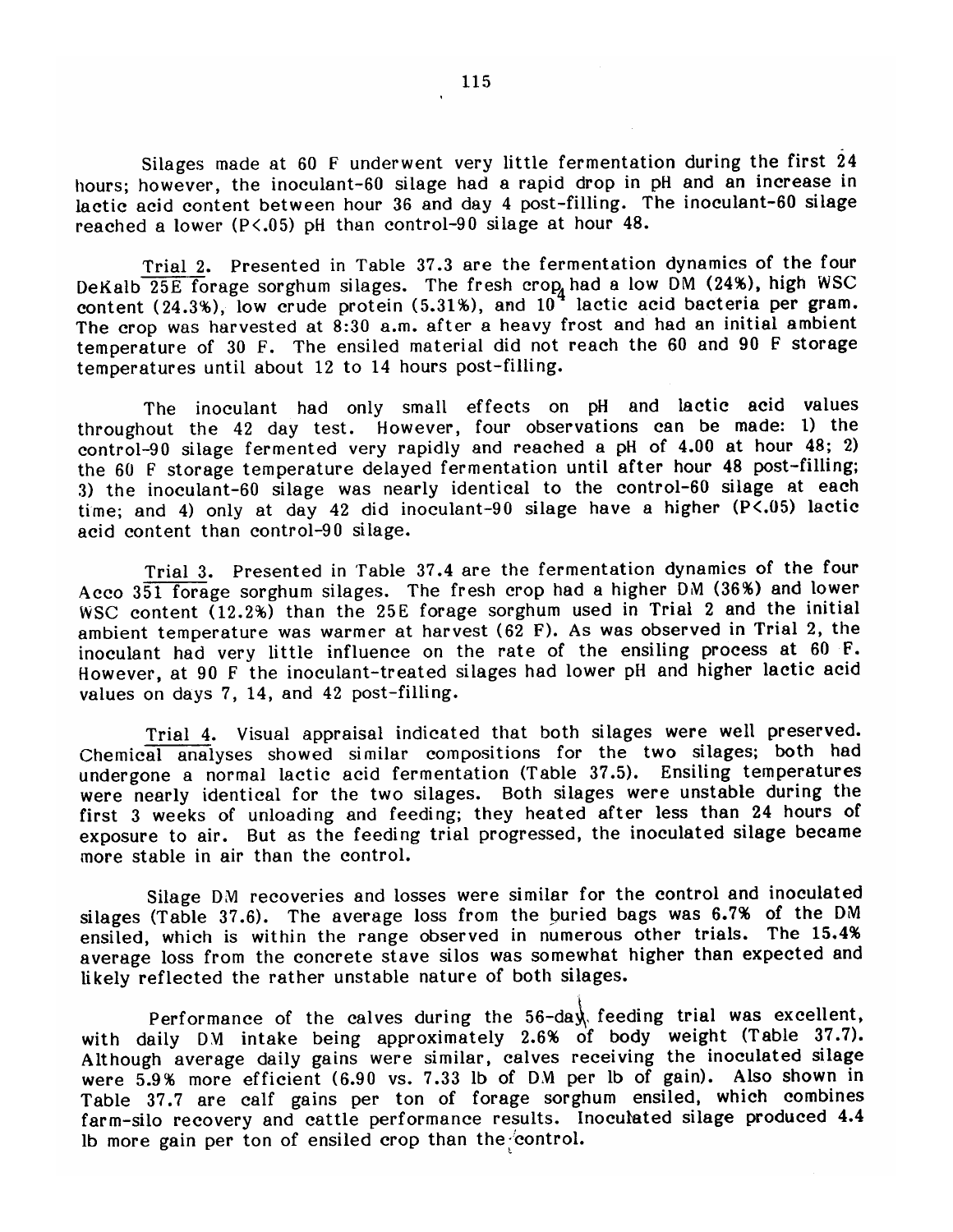Silages made at 60 F underwent very little fermentation during the first 24 hours; however, the inoculant-60 silage had a rapid drop in pH and an increase in lactic acid content between hour 36 and day 4 post-filling. The inoculant-60 silage reached a lower ( $P < .05$ ) pH than control-90 silage at hour 48.

Trial 2. Presented in Table 37.3 are the fermentation dynamics of the four DeKalb 25E forage sorghum silages. The fresh crop had a low DM (24%), high WSC content (24.3%), low crude protein (5.31%), and 10<sup>4</sup> lactic acid bacteria per gram. The crop was harvested at 8:30 a.m. after a heavy frost and had an initial ambient temperature of 30 F. The ensiled material did not reach the 60 and 90 F storage temperatures until about 12 to 14 hours post-filling.

The inoculant had only small effects on pH and lactic acid values throughout the 42 day test. However, four observations can be made: 1) the control-90 silage fermented very rapidly and reached a pH of 4.00 at hour 48; 2) the 60 F storage temperature delayed fermentation until after hour 48 post-filling; 3) the inoculant-60 silage was nearly identical to the control-60 silage at each time; and 4) only at day 42 did inoculant-90 silage have a higher (P<.05) lactic acid content than control-90 silage.

Trial 3. Presented in Table 37.4 are the fermentation dynamics of the four Acco 351 forage sorghum silages. The fresh crop had a higher DM (36%) and lower WSC content (12.2%) than the 25E forage sorghum used in Trial 2 and the initial ambient temperature was warmer at harvest ( $62$  F). As was observed in Trial 2, the inoculant had very little influence on the rate of the ensiling process at 60 F. However, at 90 F the inoculant-treated silages had lower pH and higher lactic acid values on days 7, 14, and 42 post-filling.

Trial 4. Visual appraisal indicated that both silages were well preserved. Chemical analyses showed similar compositions for the two silages; both had undergone a normal lactic acid fermentation (Table 37.5). Ensiling temperatures were nearly identical for the two silages. Both silages were unstable during the first 3 weeks of unloading and feeding; they heated after less than 24 hours of exposure to air. But as the feeding trial progressed, the inoculated silage became more stable in air than the control.

Silage DM recoveries and losses were similar for the control and inoculated silages (Table 37.6). The average loss from the buried bags was 6.7% of the DM ensiled, which is within the range observed in numerous other trials. The 15.4% average loss from the concrete stave silos was somewhat higher than expected and likely reflected the rather unstable nature of both silages.

Performance of the calves during the  $56$ -day feeding trial was excellent, with daily DM intake being approximately 2.6% of body weight (Table 37.7). Although average daily gains were similar, calves receiving the inoculated silage were 5.9% more efficient (6.90 vs. 7.33 lb of DM per lb of gain). Also shown in Table 37.7 are calf gains per ton of forage sorghum ensiled, which combines farm-silo recovery and cattle performance results. Inoculated silage produced 4.4 lb more gain per ton of ensiled crop than the control.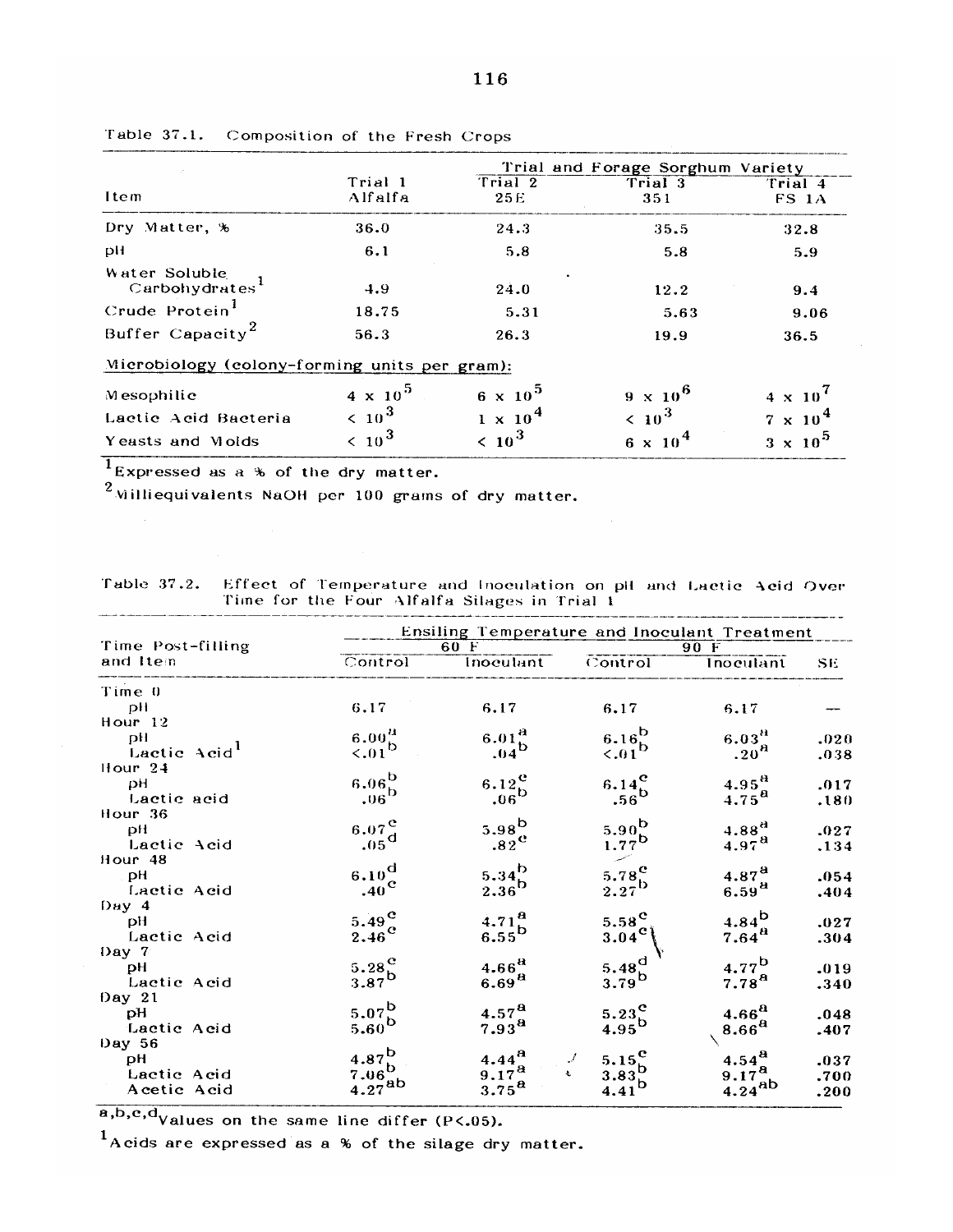|                                               |                    |                   | Trial and Forage Sorghum Variety |                   |
|-----------------------------------------------|--------------------|-------------------|----------------------------------|-------------------|
| Item                                          | Trial 1<br>Alfalfa | Trial 2<br>25E    | Trial 3<br>351                   | Trial 4<br>FS 1A  |
| Dry Matter, %                                 | 36.0               | 24.3              | 35.5                             | 32.8              |
| pH                                            | 6.1                | 5.8               | 5.8                              | 5.9               |
| Water Soluble<br>Carbohydrates <sup>1</sup>   | 4.9                | 24.0              | 12.2                             | 9.4               |
| Crude Protein                                 | 18.75              | 5.31              | 5.63                             | 9.06              |
| Buffer Capacity <sup>2</sup>                  | 56.3               | 26.3              | 19.9                             | 36.5              |
| Microbiology (colony-forming units per gram): |                    |                   |                                  |                   |
| Mesophilic                                    | $4 \times 10^{5}$  | $6 \times 10^{5}$ | $9 \times 10^6$                  | $4 \times 10^{7}$ |
| Lactic Acid Bacteria                          | $\leq 10^3$        | $1 \times 10^4$   | $\leq 10^{3}$                    | $7 \times 10^4$   |
| Yeasts and Molds                              | $\leq 10^{3}$      | $\langle 10^3$    | 6 x 10 <sup>4</sup>              | $3 \times 10^5$   |

Table 37.1. Composition of the Fresh Crops

Expressed as a % of the dry matter.

<sup>2</sup> Williequivalents NaOH per 100 grams of dry matter.

Table 37.2. Effect of Temperature and Inoculation on pH and Lactic Acid Over<br>Time for the Four Alfalfa Silages in Trial 1

|                          | Ensiling Temperature and Inoculant Treatment |                                    |                                  |                          |           |  |  |  |
|--------------------------|----------------------------------------------|------------------------------------|----------------------------------|--------------------------|-----------|--|--|--|
| Time Post-filling        |                                              | 60 F                               |                                  | 90F                      |           |  |  |  |
| and Item                 | Control                                      | Inoculant                          | Control                          | Inoculant                | <b>SE</b> |  |  |  |
| Time 0                   |                                              |                                    |                                  |                          |           |  |  |  |
| pH                       | 6.17                                         | 6,17                               | 6.17                             | 6.17                     |           |  |  |  |
| Hour $12$                |                                              |                                    |                                  |                          |           |  |  |  |
| pH                       | $\overset{6.00}{_{<.01}}^{\text{a}}$         | $6.01_{b}^{a}$<br>.04 <sup>b</sup> | $6.16^{b}$                       | 6.03 <sup>H</sup>        | .020      |  |  |  |
| Lactic Acid <sup>1</sup> |                                              |                                    | $\leq 0.01$                      | .20 <sup>A</sup>         | .038      |  |  |  |
| Hour $24$                |                                              |                                    |                                  |                          |           |  |  |  |
| -pH                      | $6.06^{b}$                                   | $6.12$ <sup>e</sup>                | $6.14^{c}$                       | $4.95^{A}$               | .017      |  |  |  |
| Lactic acid              | .06 <sup>b</sup>                             | .06 <sup>b</sup>                   | $.56^{\mathrm{b}}$               | $4.75^{\text{a}}$        | .180      |  |  |  |
| Hour 36                  |                                              |                                    |                                  |                          |           |  |  |  |
| pH                       | $6.07^\circ$                                 | $5.98^{b}$                         | $5.90^{b}$                       | $4.88^{d}$               | .027      |  |  |  |
| Lactic Acid              | $.05^{\rm d}$                                | $.82^{\circ}$                      | $1.77^{b}$                       | $4.97^{a}$               | .134      |  |  |  |
| Hour 48                  |                                              |                                    |                                  |                          |           |  |  |  |
| pH                       | $6.10^{d}$                                   | $5.34^{b}$                         | 5.78 $\rm ^{c}$                  | 4.87 <sup>8</sup>        | .054      |  |  |  |
| Lactic Acid              | $.40^{\circ}$                                | $2.36^{b}$                         | $2.27^{b}$                       | 6.59 <sup>8</sup>        | .404      |  |  |  |
| Day 4                    |                                              |                                    |                                  |                          |           |  |  |  |
| рH                       | 5.49 <sup>c</sup>                            | 4.71 <sup>a</sup>                  | $5.58^\mathrm{e}$                | $4.84^{b}$               | .027      |  |  |  |
| Lactic Acid              | $2.46^{\circ}$                               | $6.55^{\mathrm{b}}$                | $3.04^{\rm c}$                   | $7.64^{\textstyle a}$    | .304      |  |  |  |
| Day $7$                  |                                              |                                    |                                  |                          |           |  |  |  |
| DH.                      | 5.28 <sup>C</sup>                            | 4.66 <sup>A</sup>                  | 5.48 $^{d}$                      | $4.77^{\rm b}$           | .019      |  |  |  |
| Lactic Acid              | $3.87^{b}$                                   | 6.69 <sup>8</sup>                  | $3.79^{\text{D}}$                | 7.78 <sup><b>a</b></sup> | .340      |  |  |  |
| Day $21$                 |                                              |                                    |                                  |                          |           |  |  |  |
| рH                       | $5.07^{b}$                                   | 4.57 <sup>a</sup>                  | 5.23 <sup>C</sup>                | 4.66 <sup>8</sup>        | .048      |  |  |  |
| Lactic Acid              | $5.60^{b}$                                   | $7.93^{\text{a}}$                  | $4.95^{\rm b}$                   | 8.66 <sup>a</sup>        | .407      |  |  |  |
| Day 56                   |                                              |                                    |                                  |                          |           |  |  |  |
| pH                       | $4.87^{b}$                                   | $4.44^{a}$                         | 5.15 $\rm ^{e}$<br>$\mathcal{J}$ | $4.54^{a}$               | .037      |  |  |  |
| Lactic Acid              | $7.06^{D}$ .                                 | $9.17^{8}$                         | $3.83^{b}$<br>Ł.                 | $9.17^{8}$               | .700      |  |  |  |
| Acetic Acid              | $4.27^{ab}$                                  | $3.75^{\textstyle a}$              | $4.41^{D}$                       | $4.24^{ab}$              | .200      |  |  |  |

 $\overline{a, b, c, d}$ Values on the same line differ (P<.05).

 $<sup>1</sup>$ Acids are expressed as a % of the silage dry matter.</sup>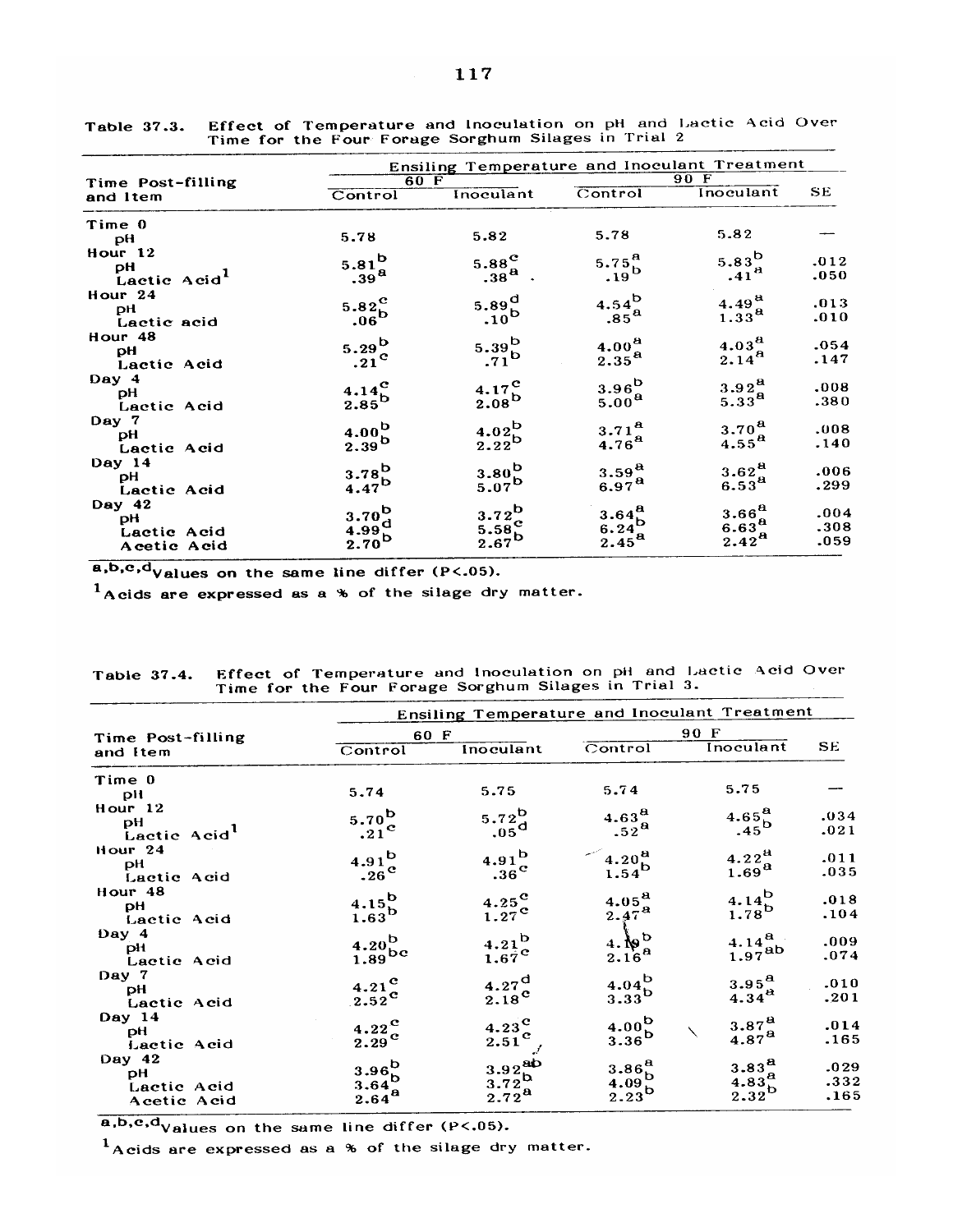|                          | Ensiling Temperature and Inoculant Treatment |                                   |                    |                          |      |  |  |  |
|--------------------------|----------------------------------------------|-----------------------------------|--------------------|--------------------------|------|--|--|--|
| Time Post-filling        |                                              | 60 F                              |                    | 90 F                     |      |  |  |  |
| and Item                 | Control                                      | Inoculant                         | Control            | Inoculant                | SE.  |  |  |  |
| Time 0                   |                                              |                                   |                    |                          |      |  |  |  |
| pH                       | 5.78                                         | 5.82                              | 5.78               | 5.82                     |      |  |  |  |
| Hour 12                  |                                              |                                   |                    |                          |      |  |  |  |
| рH                       | $5.81^{b}$                                   | $5.88^{\circ}$                    | 5.75 $^{\rm a}$    | $5.83^{b}$               | .012 |  |  |  |
| Lactic Acid <sup>1</sup> | .39 <sup>a</sup>                             | $.38a$ .                          | $.19^{\mathrm{b}}$ | .41 <sup>a</sup>         | .050 |  |  |  |
| Hour <sub>24</sub>       |                                              |                                   |                    |                          |      |  |  |  |
| рH                       |                                              | $5.89_{b}^{d}$<br>.10             | $4.54^{b}_{85}$    | $4.49^{a}$               | .013 |  |  |  |
| Lactic acid              | $5.82c06$                                    |                                   |                    | 1.33 <sup>a</sup>        | .010 |  |  |  |
| Hour 48                  |                                              |                                   |                    |                          |      |  |  |  |
| pH                       | $5.29^{b}$                                   | $5.39_{D}^{b}$                    | $4.00^{8}$         | 4.03 <sup>8</sup>        | .054 |  |  |  |
| Lactic Acid              | $.21^{\circ}$                                |                                   | 2.35 <sup>a</sup>  | $2.14^{8}$               | .147 |  |  |  |
| Day 4                    |                                              |                                   |                    |                          |      |  |  |  |
| рH                       |                                              |                                   | $3.96^{b}$         | 3.92 <sup>a</sup>        | .008 |  |  |  |
| Lactic Acid              | $\frac{4.14}{2.85}^{c}$                      | $\frac{4.17}{2.08}^{c}$           | 5.00 <sup>a</sup>  | $5.33^{8}$               | .380 |  |  |  |
| Day 7                    |                                              |                                   |                    |                          |      |  |  |  |
| рH                       | $4.00^{b}$                                   | $4.02^b$                          | 3.71 <sup>a</sup>  | 3.70 <sup>a</sup>        | .008 |  |  |  |
| Lactic Acid              | $2.39^{b}$                                   | $2.22^b$                          | 4.76 <sup>a</sup>  | $4.55^{8}$               | .140 |  |  |  |
| Day 14                   |                                              |                                   |                    |                          |      |  |  |  |
| рH                       | $3.78^{b}$                                   | $3.80^{b}$                        | $3.59^{8}$         | 3.62 <sup>a</sup>        | .006 |  |  |  |
| Lactic Acid              | 4.47 <sup>b</sup>                            | $5.07^{b}$                        | 6.97 <sup>a</sup>  | $6.53^{a}$               | .299 |  |  |  |
| Day 42                   |                                              |                                   |                    |                          |      |  |  |  |
| рH                       | $3.70^{b}$ .                                 | $3.72^b$                          |                    | 3.66 <sup>a</sup>        | .004 |  |  |  |
| Lactic Acid              |                                              |                                   |                    | $6.63^{8}$               | .308 |  |  |  |
| Acetic Acid              | $^{4.99}_{2.70}$ b                           | 5.58 <sup>o</sup> <sub>2.67</sub> | $3.64B6.24B2.45B$  | 2.42 <sup><b>a</b></sup> | .059 |  |  |  |

Effect of Temperature and Inoculation on pH and Lactic Acid Over<br>Time for the Four Forage Sorghum Silages in Trial 2 Table 37.3.

 $\overline{a, b, c, d}$ Values on the same line differ (P<.05).

 $<sup>1</sup>$ Acids are expressed as a % of the silage dry matter.</sup>

| 90 F<br>60 F<br>Time Post-filling<br>SE.<br>Inoculant<br>Control<br>Inoculant<br>Control<br>and Item<br>Time 0<br>5.75<br>5.74<br>5.75<br>5.74<br>pH<br>Hour 12<br>4.65 <sup>a</sup><br>$5.72^b$<br>4.63 <sup>a</sup><br>$5.70^{\rm b}$<br>.034<br>рH<br>$-45^{\circ}$<br>.05 <sup>d</sup><br>$.52^{\text{a}}$<br>.21 <sup>c</sup><br>.021<br>Lactic Acid <sup>1</sup><br>Hour $24$<br>4.22 $^{a}$<br>$4.91^{b}$<br>4.20 <sup>a</sup><br>$4.91^{b}$<br>.011<br>pH<br>1.69 <sup>a</sup><br>$1.54^{b}$<br>$.36^{\circ}$<br>$.26^{\rm c}$<br>.035<br>Lactic Acid<br>Hour 48<br>$4.14^{b}$<br>$4.15^{b}$<br>$\frac{4.25}{1.27}^{\text{c}}$<br>4.05 <sup>a</sup><br>.018<br>pH<br>$1.78^{\rm b}$<br>$2.47^{\rm a}$<br>$1.63^{\rm b}$<br>.104<br>Lactic Acid<br>Day 4<br>$rac{4.6^{b}}{2.16^{a}}$<br>$4.14^{8}$<br>$4.21_{67}^{b}$<br>$\begin{array}{c} 4.20\mathrm{b} \\ 1.89 \mathrm{b} \mathrm{c} \end{array}$<br>.009<br>pH<br>$1.97^{ab}$<br>.074<br>Lactic Acid |
|-----------------------------------------------------------------------------------------------------------------------------------------------------------------------------------------------------------------------------------------------------------------------------------------------------------------------------------------------------------------------------------------------------------------------------------------------------------------------------------------------------------------------------------------------------------------------------------------------------------------------------------------------------------------------------------------------------------------------------------------------------------------------------------------------------------------------------------------------------------------------------------------------------------------------------------------------------------------|
|                                                                                                                                                                                                                                                                                                                                                                                                                                                                                                                                                                                                                                                                                                                                                                                                                                                                                                                                                                 |
|                                                                                                                                                                                                                                                                                                                                                                                                                                                                                                                                                                                                                                                                                                                                                                                                                                                                                                                                                                 |
|                                                                                                                                                                                                                                                                                                                                                                                                                                                                                                                                                                                                                                                                                                                                                                                                                                                                                                                                                                 |
|                                                                                                                                                                                                                                                                                                                                                                                                                                                                                                                                                                                                                                                                                                                                                                                                                                                                                                                                                                 |
|                                                                                                                                                                                                                                                                                                                                                                                                                                                                                                                                                                                                                                                                                                                                                                                                                                                                                                                                                                 |
|                                                                                                                                                                                                                                                                                                                                                                                                                                                                                                                                                                                                                                                                                                                                                                                                                                                                                                                                                                 |
|                                                                                                                                                                                                                                                                                                                                                                                                                                                                                                                                                                                                                                                                                                                                                                                                                                                                                                                                                                 |
|                                                                                                                                                                                                                                                                                                                                                                                                                                                                                                                                                                                                                                                                                                                                                                                                                                                                                                                                                                 |
|                                                                                                                                                                                                                                                                                                                                                                                                                                                                                                                                                                                                                                                                                                                                                                                                                                                                                                                                                                 |
|                                                                                                                                                                                                                                                                                                                                                                                                                                                                                                                                                                                                                                                                                                                                                                                                                                                                                                                                                                 |
|                                                                                                                                                                                                                                                                                                                                                                                                                                                                                                                                                                                                                                                                                                                                                                                                                                                                                                                                                                 |
|                                                                                                                                                                                                                                                                                                                                                                                                                                                                                                                                                                                                                                                                                                                                                                                                                                                                                                                                                                 |
|                                                                                                                                                                                                                                                                                                                                                                                                                                                                                                                                                                                                                                                                                                                                                                                                                                                                                                                                                                 |
|                                                                                                                                                                                                                                                                                                                                                                                                                                                                                                                                                                                                                                                                                                                                                                                                                                                                                                                                                                 |
|                                                                                                                                                                                                                                                                                                                                                                                                                                                                                                                                                                                                                                                                                                                                                                                                                                                                                                                                                                 |
|                                                                                                                                                                                                                                                                                                                                                                                                                                                                                                                                                                                                                                                                                                                                                                                                                                                                                                                                                                 |
| Day 7<br>$4.04^{b}$<br>3.95 <sup>a</sup><br>.010                                                                                                                                                                                                                                                                                                                                                                                                                                                                                                                                                                                                                                                                                                                                                                                                                                                                                                                |
| $4.27^{\rm d}_{\rm 2.18}$<br>$4.21^{\circ}$<br>pH<br>$4.34^{a}$                                                                                                                                                                                                                                                                                                                                                                                                                                                                                                                                                                                                                                                                                                                                                                                                                                                                                                 |
| $3.33^{\mathrm{b}}$<br>$2.52^{\text{c}}$<br>.201<br>Lactic Acid                                                                                                                                                                                                                                                                                                                                                                                                                                                                                                                                                                                                                                                                                                                                                                                                                                                                                                 |
| Day 14<br>$4.00^{b}$<br>$3.87^{8}$<br>.014                                                                                                                                                                                                                                                                                                                                                                                                                                                                                                                                                                                                                                                                                                                                                                                                                                                                                                                      |
| $4.23^{\rm C}$<br>$4.22^{\mathbf{C}}$<br>рH<br>$4.87^{a}$                                                                                                                                                                                                                                                                                                                                                                                                                                                                                                                                                                                                                                                                                                                                                                                                                                                                                                       |
| $3.36^{\rm b}$<br>$2.51^{\circ}$<br>$2.29^{\circ}$<br>.165<br>Lactic Acid                                                                                                                                                                                                                                                                                                                                                                                                                                                                                                                                                                                                                                                                                                                                                                                                                                                                                       |
| Day 42<br>3.83 <sup>a</sup>                                                                                                                                                                                                                                                                                                                                                                                                                                                                                                                                                                                                                                                                                                                                                                                                                                                                                                                                     |
| $3.86^{8}$<br>.029<br>рH                                                                                                                                                                                                                                                                                                                                                                                                                                                                                                                                                                                                                                                                                                                                                                                                                                                                                                                                        |
| $3.92ab3.72b2.72a$<br>$3.96^{b}_{b}$<br>$3.64^{b}_{a}$<br>$2.64^{a}$<br>4.83 <sup>a</sup> <sub>2.32</sub><br>4.09 <sup>b</sup><br>.332<br>Lactic Acid                                                                                                                                                                                                                                                                                                                                                                                                                                                                                                                                                                                                                                                                                                                                                                                                           |
| $2.23^{b}$<br>.165<br>Acetic Acid                                                                                                                                                                                                                                                                                                                                                                                                                                                                                                                                                                                                                                                                                                                                                                                                                                                                                                                               |

Effect of Temperature and Inoculation on pH and Lactic Acid Over Table 37.4. Time for the Four Forage Sorghum Silages in Trial 3.

 $\underline{\bullet, b, c, d}_{Values on the same line differ (P<.05).}$ 

 $<sup>1</sup>$ Acids are expressed as a % of the silage dry matter.</sup>